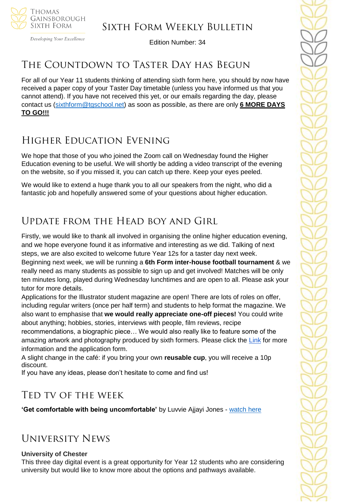

# Sixth Form Weekly Bulletin

Edition Number: 34

# THE COUNTDOWN TO TASTER DAY HAS BEGUN

For all of our Year 11 students thinking of attending sixth form here, you should by now have received a paper copy of your Taster Day timetable (unless you have informed us that you cannot attend). If you have not received this yet, or our emails regarding the day, please contact us [\(sixthform@tgschool.net\)](mailto:sixthform@tgschool.net) as soon as possible, as there are only **6 MORE DAYS TO GO!!!**

# Higher Education Evening

We hope that those of you who joined the Zoom call on Wednesday found the Higher Education evening to be useful. We will shortly be adding a video transcript of the evening on the website, so if you missed it, you can catch up there. Keep your eyes peeled.

We would like to extend a huge thank you to all our speakers from the night, who did a fantastic job and hopefully answered some of your questions about higher education.

# Update from the Head boy and Girl

Firstly, we would like to thank all involved in organising the online higher education evening, and we hope everyone found it as informative and interesting as we did. Talking of next steps, we are also excited to welcome future Year 12s for a taster day next week.

Beginning next week, we will be running a **6th Form inter-house football tournament** & we really need as many students as possible to sign up and get involved! Matches will be only ten minutes long, played during Wednesday lunchtimes and are open to all. Please ask your tutor for more details.

Applications for the Illustrator student magazine are open! There are lots of roles on offer, including regular writers (once per half term) and students to help format the magazine. We also want to emphasise that **we would really appreciate one-off pieces!** You could write about anything; hobbies, stories, interviews with people, film reviews, recipe recommendations, a biographic piece… We would also really like to feature some of the

amazing artwork and photography produced by sixth formers. Please click the [Link](https://docs.google.com/forms/d/e/1FAIpQLScSUh_yaKNntcoWOFQYZoKF03b1pOA6i9Rr97t3dyU6NFIHvA/viewform?usp=sf_link) for more information and the application form.

A slight change in the café: if you bring your own **reusable cup**, you will receive a 10p discount.

If you have any ideas, please don't hesitate to come and find us!

# Ted tv of the week

**'Get comfortable with being uncomfortable'** by Luvvie Ajjayi Jones - [watch here](https://www.ted.com/talks/luvvie_ajayi_jones_get_comfortable_with_being_uncomfortable)

# University News

### **University of Chester**

This three day digital event is a great opportunity for Year 12 students who are considering university but would like to know more about the options and pathways available.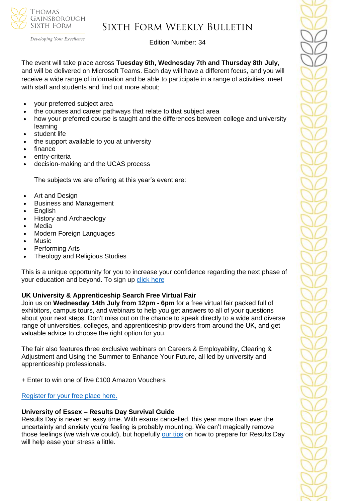

# Sixth Form Weekly Bulletin

Edition Number: 34

The event will take place across **Tuesday 6th, Wednesday 7th and Thursday 8th July**, and will be delivered on Microsoft Teams. Each day will have a different focus, and you will receive a wide range of information and be able to participate in a range of activities, meet with staff and students and find out more about:

- your preferred subject area
- the courses and career pathways that relate to that subject area
- how your preferred course is taught and the differences between college and university learning
- student life
- the support available to you at university
- finance
- entry-criteria
- decision-making and the UCAS process

The subjects we are offering at this year's event are:

- Art and Design
- Business and Management
- English
- History and Archaeology
- Media
- Modern Foreign Languages
- Music
- Performing Arts
- Theology and Religious Studies

This is a unique opportunity for you to increase your confidence regarding the next phase of your education and beyond. To sign up [click here](https://www1.chester.ac.uk/events/taste-university-2021)

# **UK University & Apprenticeship Search Free Virtual Fair**

Join us on **Wednesday 14th July from 12pm - 6pm** for a free virtual fair packed full of exhibitors, campus tours, and webinars to help you get answers to all of your questions about your next steps. Don't miss out on the chance to speak directly to a wide and diverse range of universities, colleges, and apprenticeship providers from around the UK, and get valuable advice to choose the right option for you.

The fair also features three exclusive webinars on Careers & Employability, Clearing & Adjustment and Using the Summer to Enhance Your Future, all led by university and apprenticeship professionals.

+ Enter to win one of five £100 Amazon Vouchers

# [Register for your free place here.](https://ukunisearch.vfairs.com/)

# **University of Essex – Results Day Survival Guide**

Results Day is never an easy time. With exams cancelled, this year more than ever the uncertainty and anxiety you're feeling is probably mounting. We can't magically remove those feelings (we wish we could), but hopefully [our tips](https://www.essex.ac.uk/undergraduate/results-day?_cldee=a2FsZXhhbmRlckB0Z3NjaG9vbC5uZXQ%3d&recipientid=contact-f181254425e7e81180fe005056342d86-1c1cd6f5d87543fb915d25d7a7dc66f7&utm_source=ClickDimensions&utm_medium=email&utm_campaign=Clearing%202021&esid=fbe37ad7-7fd2-eb11-8138-005056342d86) on how to prepare for Results Day will help ease your stress a little.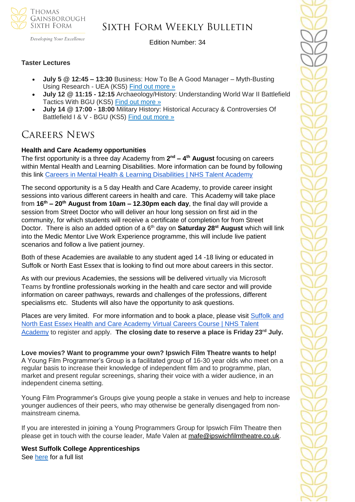

# Sixth Form Weekly Bulletin

Developing Your Excellence

Edition Number: 34

### **Taster Lectures**

- **July 5 @ 12:45 – 13:30** Business: How To Be A Good Manager Myth-Busting Using Research - UEA (KS5) [Find out more »](https://channeltalent.us10.list-manage.com/track/click?u=145837fa6843e0c349598322a&id=627b52e8b9&e=155232616c)
- **July 12 @ 11:15 - 12:15** Archaeology/History: Understanding World War II Battlefield Tactics With BGU (KS5) [Find out more »](https://channeltalent.us10.list-manage.com/track/click?u=145837fa6843e0c349598322a&id=c95e40d833&e=155232616c)
- **July 14 @ 17:00 - 18:00** Military History: Historical Accuracy & Controversies Of Battlefield I & V - BGU (KS5) [Find out more »](https://channeltalent.us10.list-manage.com/track/click?u=145837fa6843e0c349598322a&id=780c0dbf96&e=155232616c)

# Careers News

### **Health and Care Academy opportunities**

The first opportunity is a three day Academy from **2 nd – 4 th August** focusing on careers within Mental Health and Learning Disabilities. More information can be found by following this link [Careers in Mental Health & Learning Disabilities | NHS Talent Academy](https://nhstalentacademy.org.uk/event/careers-in-mental-health-learning-disabilities/)

The second opportunity is a 5 day Health and Care Academy, to provide career insight sessions into various different careers in health and care. This Academy will take place from **16th – 20th August from 10am – 12.30pm each day**, the final day will provide a session from Street Doctor who will deliver an hour long session on first aid in the community, for which students will receive a certificate of completion for from Street Doctor. There is also an added option of a 6<sup>th</sup> day on **Saturday 28<sup>st</sup> August** which will link into the Medic Mentor Live Work Experience programme, this will include live patient scenarios and follow a live patient journey.

Both of these Academies are available to any student aged 14 -18 living or educated in Suffolk or North East Essex that is looking to find out more about careers in this sector.

As with our previous Academies, the sessions will be delivered virtually via Microsoft Teams by frontline professionals working in the health and care sector and will provide information on career pathways, rewards and challenges of the professions, different specialisms etc. Students will also have the opportunity to ask questions.

Places are very limited. For more information and to book a place, please visit Suffolk and [North East Essex Health and Care Academy Virtual Careers Course | NHS Talent](https://nhstalentacademy.org.uk/event/suffolk-and-north-east-essex-health-and-care-academy-virtual-careers-course/)  [Academy](https://nhstalentacademy.org.uk/event/suffolk-and-north-east-essex-health-and-care-academy-virtual-careers-course/) to register and apply. **The closing date to reserve a place is Friday 23rd July.**

**Love movies? Want to programme your own? Ipswich Film Theatre wants to help!** A Young Film Programmer's Group is a facilitated group of 16-30 year olds who meet on a regular basis to increase their knowledge of independent film and to programme, plan, market and present regular screenings, sharing their voice with a wider audience, in an independent cinema setting.

Young Film Programmer's Groups give young people a stake in venues and help to increase younger audiences of their peers, who may otherwise be generally disengaged from nonmainstream cinema.

If you are interested in joining a Young Programmers Group for Ipswich Film Theatre then please get in touch with the course leader, Mafe Valen at [mafe@ipswichfilmtheatre.co.uk.](mailto:mafe@ipswichfilmtheatre.co.uk)

**West Suffolk College Apprenticeships**  See [here](https://apprenticeships.wsc.ac.uk/) for a full list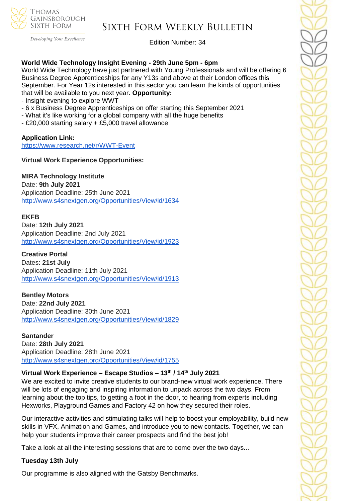

# Sixth Form Weekly Bulletin

Edition Number: 34

### **World Wide Technology Insight Evening - 29th June 5pm - 6pm**

World Wide Technology have just partnered with Young Professionals and will be offering 6 Business Degree Apprenticeships for any Y13s and above at their London offices this September. For Year 12s interested in this sector you can learn the kinds of opportunities that will be available to you next year. **Opportunity:**

- Insight evening to explore WWT

- 6 x Business Degree Apprenticeships on offer starting this September 2021
- What it's like working for a global company with all the huge benefits
- £20,000 starting salary + £5,000 travel allowance

## **Application Link:**

<https://www.research.net/r/WWT-Event>

**Virtual Work Experience Opportunities:**

**MIRA Technology Institute** 

Date: **9th July 2021** Application Deadline: 25th June 2021 <http://www.s4snextgen.org/Opportunities/View/id/1634>

### **EKFB**

Date: **12th July 2021** Application Deadline: 2nd July 2021 <http://www.s4snextgen.org/Opportunities/View/id/1923>

**Creative Portal** Dates: **21st July** Application Deadline: 11th July 2021 <http://www.s4snextgen.org/Opportunities/View/id/1913>

**Bentley Motors** Date: **22nd July 2021** Application Deadline: 30th June 2021 <http://www.s4snextgen.org/Opportunities/View/id/1829>

#### **Santander**

Date: **28th July 2021** Application Deadline: 28th June 2021 <http://www.s4snextgen.org/Opportunities/View/id/1755>

### **Virtual Work Experience – Escape Studios – 13th / 14th July 2021**

We are excited to invite creative students to our brand-new virtual work experience. There will be lots of engaging and inspiring information to unpack across the two days. From learning about the top tips, to getting a foot in the door, to hearing from experts including Hexworks, Playground Games and Factory 42 on how they secured their roles.

Our interactive activities and stimulating talks will help to boost your employability, build new skills in VFX, Animation and Games, and introduce you to new contacts. Together, we can help your students improve their career prospects and find the best job!

Take a look at all the interesting sessions that are to come over the two days...

### **Tuesday 13th July**

Our programme is also aligned with the Gatsby Benchmarks.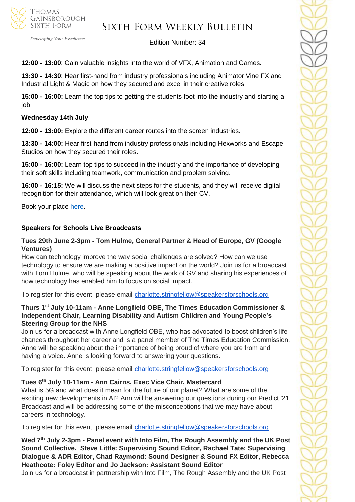

# Sixth Form Weekly Bulletin

Edition Number: 34

**12:00 - 13:00**: Gain valuable insights into the world of VFX, Animation and Games.

**13:30 - 14:30**: Hear first-hand from industry professionals including Animator Vine FX and Industrial Light & Magic on how they secured and excel in their creative roles.

**15:00 - 16:00:** Learn the top tips to getting the students foot into the industry and starting a job.

### **Wednesday 14th July**

**12:00 - 13:00:** Explore the different career routes into the screen industries.

**13:30 - 14:00:** Hear first-hand from industry professionals including Hexworks and Escape Studios on how they secured their roles.

**15:00 - 16:00:** Learn top tips to succeed in the industry and the importance of developing their soft skills including teamwork, communication and problem solving.

**16:00 - 16:15:** We will discuss the next steps for the students, and they will receive digital recognition for their attendance, which will look great on their CV.

Book your place [here.](https://www.pearsoncollegelondon.ac.uk/escape-studios/visit-us/events/virtual-work-experience.html?utm_source=unitasterday&utm_medium=email&utm_campaign=esc_virtual_work_experience)

### **Speakers for Schools Live Broadcasts**

### **Tues 29th June 2-3pm - Tom Hulme, General Partner & Head of Europe, GV (Google Ventures)**

How can technology improve the way social challenges are solved? How can we use technology to ensure we are making a positive impact on the world? Join us for a broadcast with Tom Hulme, who will be speaking about the work of GV and sharing his experiences of how technology has enabled him to focus on social impact.

To register for this event, please email [charlotte.stringfellow@speakersforschools.org](mailto:charlotte.stringfellow@speakersforschools.org)

### **Thurs 1st July 10-11am - Anne Longfield OBE, The Times Education Commissioner & Independent Chair, Learning Disability and Autism Children and Young People's Steering Group for the NHS**

Join us for a broadcast with Anne Longfield OBE, who has advocated to boost children's life chances throughout her career and is a panel member of The Times Education Commission. Anne will be speaking about the importance of being proud of where you are from and having a voice. Anne is looking forward to answering your questions.

To register for this event, please email [charlotte.stringfellow@speakersforschools.org](mailto:charlotte.stringfellow@speakersforschools.org)

### **Tues 6th July 10-11am - Ann Cairns, Exec Vice Chair, Mastercard**

What is 5G and what does it mean for the future of our planet? What are some of the exciting new developments in AI? Ann will be answering our questions during our Predict '21 Broadcast and will be addressing some of the misconceptions that we may have about careers in technology.

To register for this event, please email [charlotte.stringfellow@speakersforschools.org](mailto:charlotte.stringfellow@speakersforschools.org)

**Wed 7th July 2-3pm - Panel event with Into Film, The Rough Assembly and the UK Post Sound Collective. Steve Little: Supervising Sound Editor, Rachael Tate: Supervising Dialogue & ADR Editor, Chad Raymond: Sound Designer & Sound FX Editor, Rebecca Heathcote: Foley Editor and Jo Jackson: Assistant Sound Editor**

Join us for a broadcast in partnership with Into Film, The Rough Assembly and the UK Post